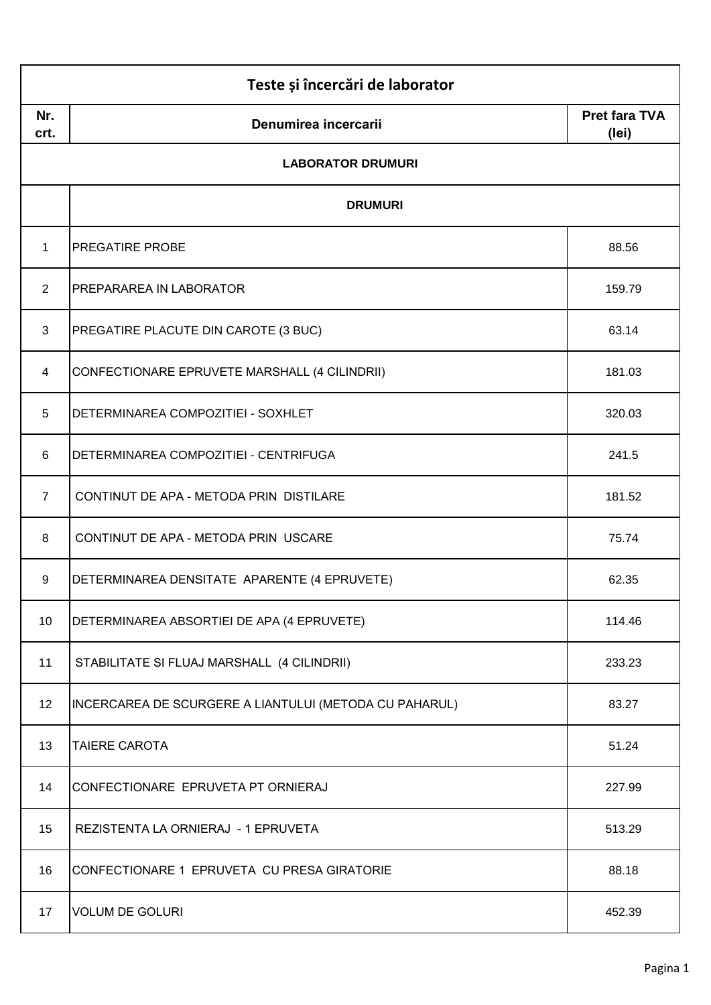| Nr.<br>crt.    | Denumirea incercarii                                   | <b>Pret fara TVA</b><br>(lei) |
|----------------|--------------------------------------------------------|-------------------------------|
|                | <b>LABORATOR DRUMURI</b>                               |                               |
|                | <b>DRUMURI</b>                                         |                               |
| $\mathbf 1$    | <b>PREGATIRE PROBE</b>                                 | 88.56                         |
| $\overline{2}$ | PREPARAREA IN LABORATOR                                | 159.79                        |
| 3              | PREGATIRE PLACUTE DIN CAROTE (3 BUC)                   | 63.14                         |
| 4              | CONFECTIONARE EPRUVETE MARSHALL (4 CILINDRII)          | 181.03                        |
| 5              | DETERMINAREA COMPOZITIEI - SOXHLET                     | 320.03                        |
| 6              | DETERMINAREA COMPOZITIEI - CENTRIFUGA                  | 241.5                         |
| $\overline{7}$ | CONTINUT DE APA - METODA PRIN DISTILARE                | 181.52                        |
| 8              | CONTINUT DE APA - METODA PRIN USCARE                   | 75.74                         |
| 9              | DETERMINAREA DENSITATE APARENTE (4 EPRUVETE)           | 62.35                         |
| 10             | DETERMINAREA ABSORTIEI DE APA (4 EPRUVETE)             | 114.46                        |
| 11             | STABILITATE SI FLUAJ MARSHALL (4 CILINDRII)            | 233.23                        |
| 12             | INCERCAREA DE SCURGERE A LIANTULUI (METODA CU PAHARUL) | 83.27                         |
| 13             | <b>TAIERE CAROTA</b>                                   | 51.24                         |
| 14             | CONFECTIONARE EPRUVETA PT ORNIERAJ                     | 227.99                        |
| 15             | REZISTENTA LA ORNIERAJ - 1 EPRUVETA                    | 513.29                        |
| 16             | CONFECTIONARE 1 EPRUVETA CU PRESA GIRATORIE            | 88.18                         |
| 17             | <b>VOLUM DE GOLURI</b>                                 | 452.39                        |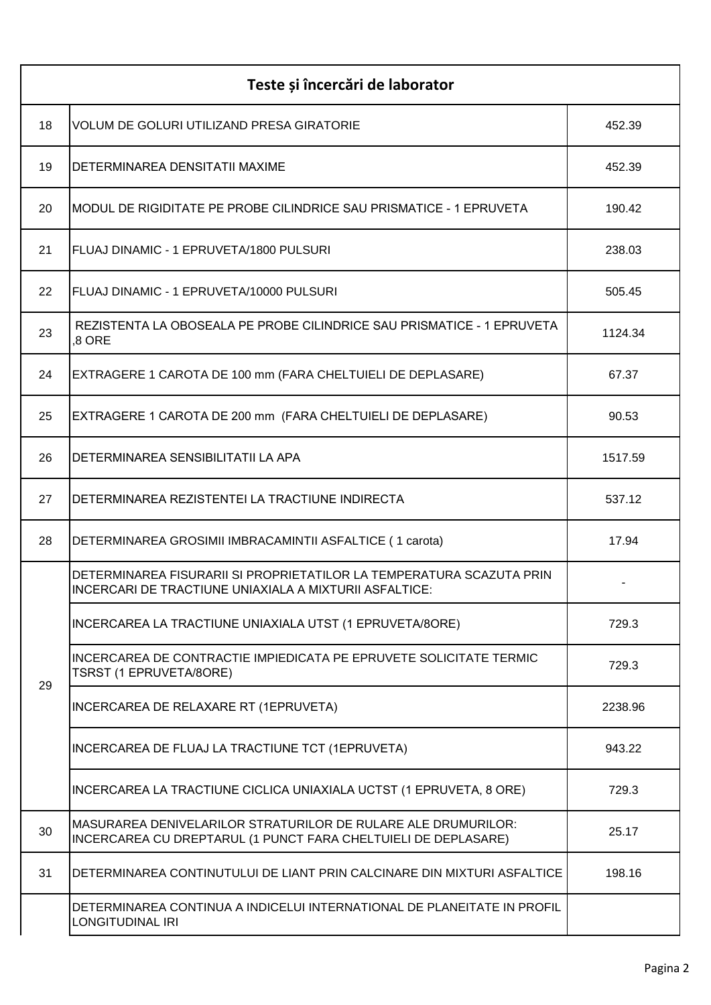| Teste și încercări de laborator |                                                                                                                                 |         |
|---------------------------------|---------------------------------------------------------------------------------------------------------------------------------|---------|
| 18                              | <b>VOLUM DE GOLURI UTILIZAND PRESA GIRATORIE</b>                                                                                | 452.39  |
| 19                              | DETERMINAREA DENSITATII MAXIME                                                                                                  | 452.39  |
| 20                              | MODUL DE RIGIDITATE PE PROBE CILINDRICE SAU PRISMATICE - 1 EPRUVETA                                                             | 190.42  |
| 21                              | FLUAJ DINAMIC - 1 EPRUVETA/1800 PULSURI                                                                                         | 238.03  |
| 22                              | FLUAJ DINAMIC - 1 EPRUVETA/10000 PULSURI                                                                                        | 505.45  |
| 23                              | REZISTENTA LA OBOSEALA PE PROBE CILINDRICE SAU PRISMATICE - 1 EPRUVETA<br>,8 ORE                                                | 1124.34 |
| 24                              | EXTRAGERE 1 CAROTA DE 100 mm (FARA CHELTUIELI DE DEPLASARE)                                                                     | 67.37   |
| 25                              | EXTRAGERE 1 CAROTA DE 200 mm (FARA CHELTUIELI DE DEPLASARE)                                                                     | 90.53   |
| 26                              | DETERMINAREA SENSIBILITATII LA APA                                                                                              | 1517.59 |
| 27                              | DETERMINAREA REZISTENTEI LA TRACTIUNE INDIRECTA                                                                                 | 537.12  |
| 28                              | DETERMINAREA GROSIMII IMBRACAMINTII ASFALTICE (1 carota)                                                                        | 17.94   |
|                                 | DETERMINAREA FISURARII SI PROPRIETATILOR LA TEMPERATURA SCAZUTA PRIN<br>INCERCARI DE TRACTIUNE UNIAXIALA A MIXTURII ASFALTICE:  |         |
|                                 | INCERCAREA LA TRACTIUNE UNIAXIALA UTST (1 EPRUVETA/8ORE)                                                                        | 729.3   |
| 29                              | INCERCAREA DE CONTRACTIE IMPIEDICATA PE EPRUVETE SOLICITATE TERMIC<br>TSRST (1 EPRUVETA/8ORE)                                   | 729.3   |
|                                 | INCERCAREA DE RELAXARE RT (1EPRUVETA)                                                                                           | 2238.96 |
|                                 | INCERCAREA DE FLUAJ LA TRACTIUNE TCT (1EPRUVETA)                                                                                | 943.22  |
|                                 | INCERCAREA LA TRACTIUNE CICLICA UNIAXIALA UCTST (1 EPRUVETA, 8 ORE)                                                             | 729.3   |
| 30                              | MASURAREA DENIVELARILOR STRATURILOR DE RULARE ALE DRUMURILOR:<br>INCERCAREA CU DREPTARUL (1 PUNCT FARA CHELTUIELI DE DEPLASARE) | 25.17   |
| 31                              | DETERMINAREA CONTINUTULUI DE LIANT PRIN CALCINARE DIN MIXTURI ASFALTICE                                                         | 198.16  |
|                                 | DETERMINAREA CONTINUA A INDICELUI INTERNATIONAL DE PLANEITATE IN PROFIL<br>LONGITUDINAL IRI                                     |         |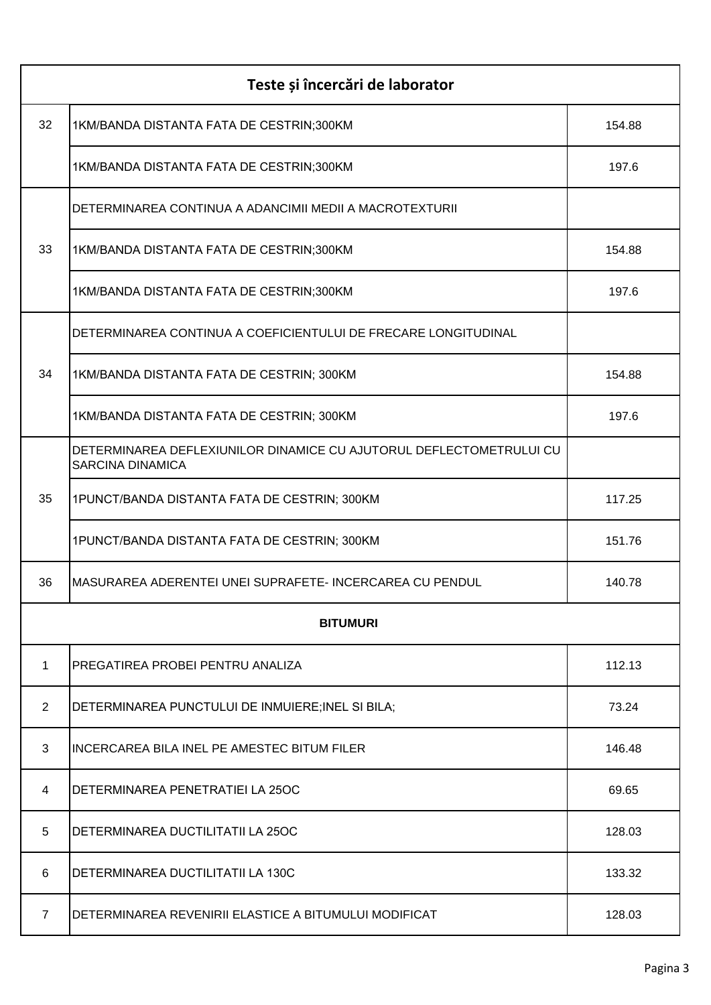| Teste și încercări de laborator |                                                                                                |        |
|---------------------------------|------------------------------------------------------------------------------------------------|--------|
| 32                              | 1KM/BANDA DISTANTA FATA DE CESTRIN;300KM                                                       | 154.88 |
|                                 | 1KM/BANDA DISTANTA FATA DE CESTRIN;300KM                                                       | 197.6  |
|                                 | DETERMINAREA CONTINUA A ADANCIMII MEDII A MACROTEXTURII                                        |        |
| 33                              | 1KM/BANDA DISTANTA FATA DE CESTRIN;300KM                                                       | 154.88 |
|                                 | 1KM/BANDA DISTANTA FATA DE CESTRIN;300KM                                                       | 197.6  |
|                                 | DETERMINAREA CONTINUA A COEFICIENTULUI DE FRECARE LONGITUDINAL                                 |        |
| 34                              | 1KM/BANDA DISTANTA FATA DE CESTRIN; 300KM                                                      | 154.88 |
|                                 | 1KM/BANDA DISTANTA FATA DE CESTRIN; 300KM                                                      | 197.6  |
|                                 | DETERMINAREA DEFLEXIUNILOR DINAMICE CU AJUTORUL DEFLECTOMETRULUI CU<br><b>SARCINA DINAMICA</b> |        |
| 35                              | 1PUNCT/BANDA DISTANTA FATA DE CESTRIN; 300KM                                                   | 117.25 |
|                                 | 1PUNCT/BANDA DISTANTA FATA DE CESTRIN; 300KM                                                   | 151.76 |
| 36                              | MASURAREA ADERENTEI UNEI SUPRAFETE- INCERCAREA CU PENDUL                                       | 140.78 |
|                                 | <b>BITUMURI</b>                                                                                |        |
| 1                               | PREGATIREA PROBEI PENTRU ANALIZA                                                               | 112.13 |
| $\overline{2}$                  | DETERMINAREA PUNCTULUI DE INMUIERE; INEL SI BILA;                                              | 73.24  |
| 3                               | <b>INCERCAREA BILA INEL PE AMESTEC BITUM FILER</b>                                             | 146.48 |
| 4                               | DETERMINAREA PENETRATIEI LA 25OC                                                               | 69.65  |
| 5                               | DETERMINAREA DUCTILITATII LA 25OC                                                              | 128.03 |
| 6                               | DETERMINAREA DUCTILITATII LA 130C                                                              | 133.32 |
| 7                               | DETERMINAREA REVENIRII ELASTICE A BITUMULUI MODIFICAT                                          | 128.03 |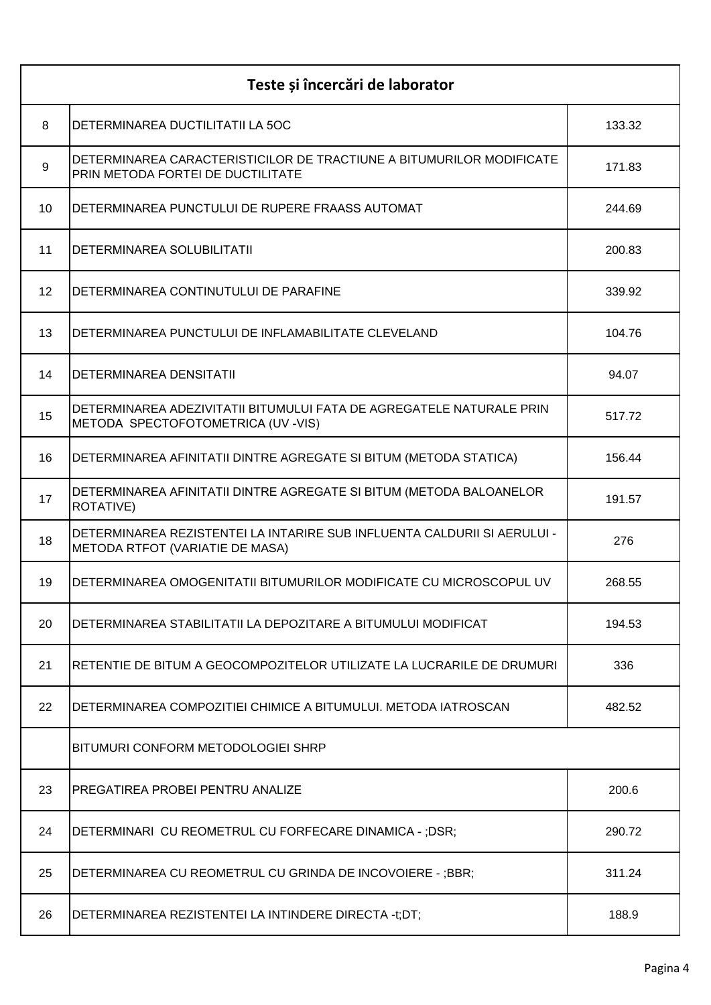| Teste și încercări de laborator |                                                                                                             |        |
|---------------------------------|-------------------------------------------------------------------------------------------------------------|--------|
| 8                               | DETERMINAREA DUCTILITATII LA 50C                                                                            | 133.32 |
| 9                               | DETERMINAREA CARACTERISTICILOR DE TRACTIUNE A BITUMURILOR MODIFICATE<br>PRIN METODA FORTEI DE DUCTILITATE   | 171.83 |
| 10                              | DETERMINAREA PUNCTULUI DE RUPERE FRAASS AUTOMAT                                                             | 244.69 |
| 11                              | DETERMINAREA SOLUBILITATII                                                                                  | 200.83 |
| 12                              | DETERMINAREA CONTINUTULUI DE PARAFINE                                                                       | 339.92 |
| 13                              | DETERMINAREA PUNCTULUI DE INFLAMABILITATE CLEVELAND                                                         | 104.76 |
| 14                              | <b>DETERMINAREA DENSITATII</b>                                                                              | 94.07  |
| 15                              | DETERMINAREA ADEZIVITATII BITUMULUI FATA DE AGREGATELE NATURALE PRIN<br>METODA SPECTOFOTOMETRICA (UV -VIS)  | 517.72 |
| 16                              | DETERMINAREA AFINITATII DINTRE AGREGATE SI BITUM (METODA STATICA)                                           | 156.44 |
| 17                              | DETERMINAREA AFINITATII DINTRE AGREGATE SI BITUM (METODA BALOANELOR<br>ROTATIVE)                            | 191.57 |
| 18                              | DETERMINAREA REZISTENTEI LA INTARIRE SUB INFLUENTA CALDURII SI AERULUI -<br>METODA RTFOT (VARIATIE DE MASA) | 276    |
| 19                              | DETERMINAREA OMOGENITATII BITUMURILOR MODIFICATE CU MICROSCOPUL UV                                          | 268.55 |
| 20                              | DETERMINAREA STABILITATII LA DEPOZITARE A BITUMULUI MODIFICAT                                               | 194.53 |
| 21                              | RETENTIE DE BITUM A GEOCOMPOZITELOR UTILIZATE LA LUCRARILE DE DRUMURI                                       | 336    |
| 22                              | DETERMINAREA COMPOZITIEI CHIMICE A BITUMULUI. METODA IATROSCAN                                              | 482.52 |
|                                 | BITUMURI CONFORM METODOLOGIEI SHRP                                                                          |        |
| 23                              | <b>PREGATIREA PROBEI PENTRU ANALIZE</b>                                                                     | 200.6  |
| 24                              | DETERMINARI CU REOMETRUL CU FORFECARE DINAMICA - ;DSR;                                                      | 290.72 |
| 25                              | DETERMINAREA CU REOMETRUL CU GRINDA DE INCOVOIERE - ;BBR;                                                   | 311.24 |
| 26                              | DETERMINAREA REZISTENTEI LA INTINDERE DIRECTA -t;DT;                                                        | 188.9  |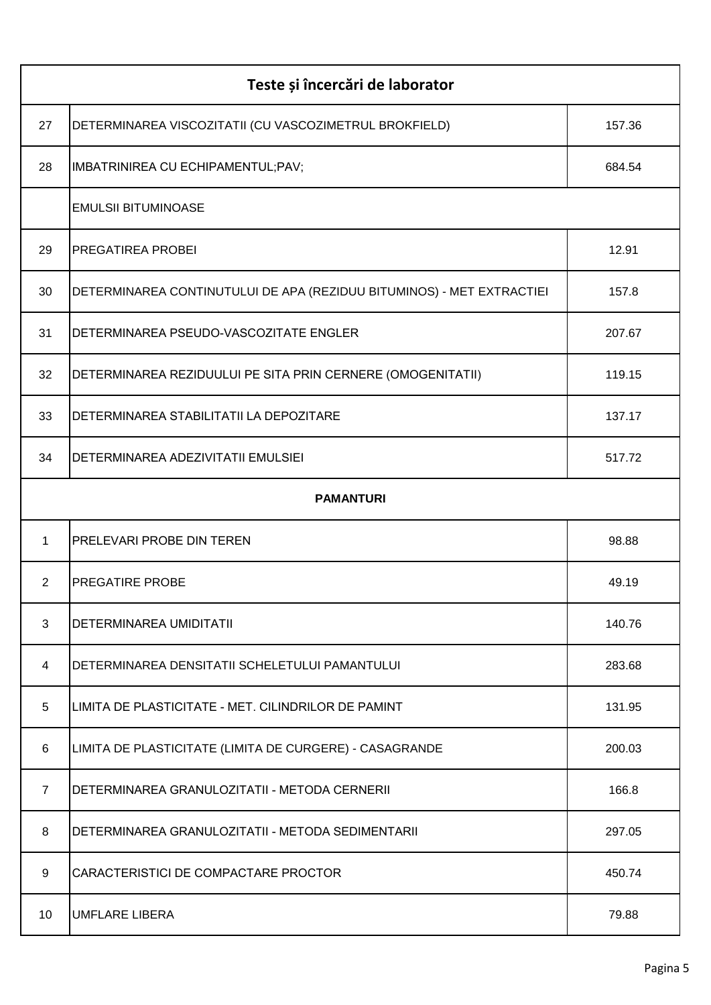| Teste și încercări de laborator |                                                                       |        |
|---------------------------------|-----------------------------------------------------------------------|--------|
| 27                              | DETERMINAREA VISCOZITATII (CU VASCOZIMETRUL BROKFIELD)                | 157.36 |
| 28                              | IMBATRINIREA CU ECHIPAMENTUL; PAV;                                    | 684.54 |
|                                 | <b>EMULSII BITUMINOASE</b>                                            |        |
| 29                              | <b>PREGATIREA PROBEI</b>                                              | 12.91  |
| 30                              | DETERMINAREA CONTINUTULUI DE APA (REZIDUU BITUMINOS) - MET EXTRACTIEI | 157.8  |
| 31                              | DETERMINAREA PSEUDO-VASCOZITATE ENGLER                                | 207.67 |
| 32                              | DETERMINAREA REZIDUULUI PE SITA PRIN CERNERE (OMOGENITATII)           | 119.15 |
| 33                              | DETERMINAREA STABILITATII LA DEPOZITARE                               | 137.17 |
| 34                              | DETERMINAREA ADEZIVITATII EMULSIEI                                    | 517.72 |
|                                 | <b>PAMANTURI</b>                                                      |        |
| $\mathbf{1}$                    | <b>PRELEVARI PROBE DIN TEREN</b>                                      | 98.88  |
| $\overline{2}$                  | <b>PREGATIRE PROBE</b>                                                | 49.19  |
| 3                               | <b>DETERMINAREA UMIDITATII</b>                                        | 140.76 |
| 4                               | DETERMINAREA DENSITATII SCHELETULUI PAMANTULUI                        | 283.68 |
| 5                               | LIMITA DE PLASTICITATE - MET. CILINDRILOR DE PAMINT                   | 131.95 |
| 6                               | LIMITA DE PLASTICITATE (LIMITA DE CURGERE) - CASAGRANDE               | 200.03 |
| $\overline{7}$                  | DETERMINAREA GRANULOZITATII - METODA CERNERII                         | 166.8  |
| 8                               | DETERMINAREA GRANULOZITATII - METODA SEDIMENTARII                     | 297.05 |
| 9                               | CARACTERISTICI DE COMPACTARE PROCTOR                                  | 450.74 |
| 10                              | <b>UMFLARE LIBERA</b>                                                 | 79.88  |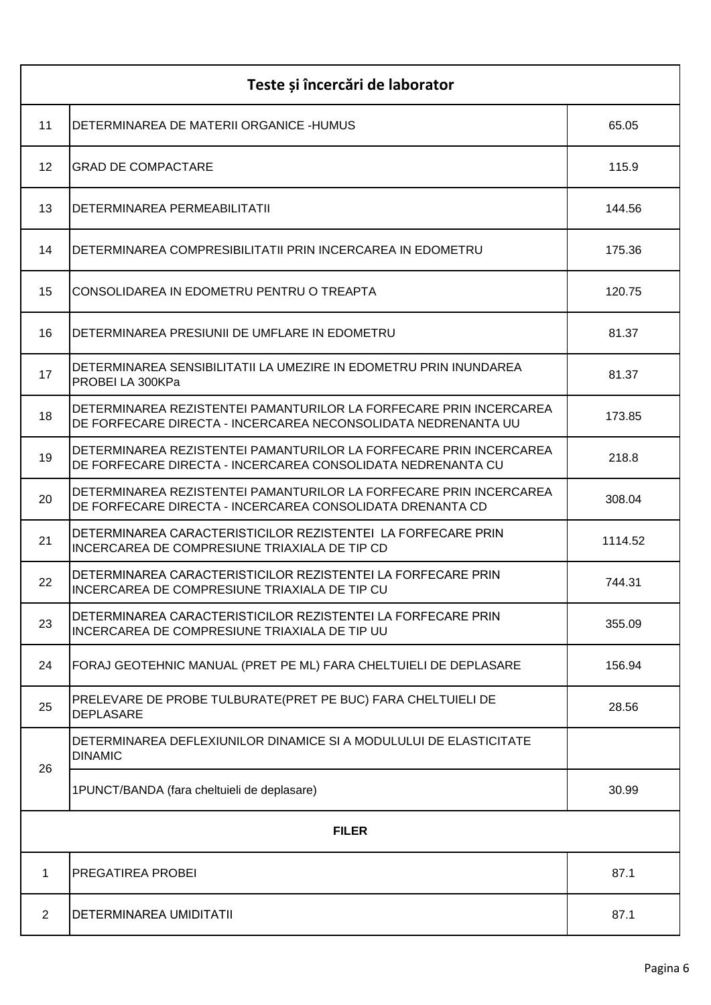| Teste și încercări de laborator |                                                                                                                                     |         |
|---------------------------------|-------------------------------------------------------------------------------------------------------------------------------------|---------|
| 11                              | DETERMINAREA DE MATERII ORGANICE -HUMUS                                                                                             | 65.05   |
| $12 \overline{ }$               | <b>GRAD DE COMPACTARE</b>                                                                                                           | 115.9   |
| 13                              | DETERMINAREA PERMEABILITATII                                                                                                        | 144.56  |
| 14                              | DETERMINAREA COMPRESIBILITATII PRIN INCERCAREA IN EDOMETRU                                                                          | 175.36  |
| 15                              | CONSOLIDAREA IN EDOMETRU PENTRU O TREAPTA                                                                                           | 120.75  |
| 16                              | DETERMINAREA PRESIUNII DE UMFLARE IN EDOMETRU                                                                                       | 81.37   |
| 17                              | DETERMINAREA SENSIBILITATII LA UMEZIRE IN EDOMETRU PRIN INUNDAREA<br>PROBEI LA 300KPa                                               | 81.37   |
| 18                              | DETERMINAREA REZISTENTEI PAMANTURILOR LA FORFECARE PRIN INCERCAREA<br>DE FORFECARE DIRECTA - INCERCAREA NECONSOLIDATA NEDRENANTA UU | 173.85  |
| 19                              | DETERMINAREA REZISTENTEI PAMANTURILOR LA FORFECARE PRIN INCERCAREA<br>DE FORFECARE DIRECTA - INCERCAREA CONSOLIDATA NEDRENANTA CU   | 218.8   |
| 20                              | DETERMINAREA REZISTENTEI PAMANTURILOR LA FORFECARE PRIN INCERCAREA<br>DE FORFECARE DIRECTA - INCERCAREA CONSOLIDATA DRENANTA CD     | 308.04  |
| 21                              | DETERMINAREA CARACTERISTICILOR REZISTENTEI LA FORFECARE PRIN<br>INCERCAREA DE COMPRESIUNE TRIAXIALA DE TIP CD                       | 1114.52 |
| 22                              | DETERMINAREA CARACTERISTICILOR REZISTENTEI LA FORFECARE PRIN<br>INCERCAREA DE COMPRESIUNE TRIAXIALA DE TIP CU                       | 744.31  |
| 23                              | DETERMINAREA CARACTERISTICILOR REZISTENTEI LA FORFECARE PRIN<br>INCERCAREA DE COMPRESIUNE TRIAXIALA DE TIP UU                       | 355.09  |
| 24                              | FORAJ GEOTEHNIC MANUAL (PRET PE ML) FARA CHELTUIELI DE DEPLASARE                                                                    | 156.94  |
| 25                              | PRELEVARE DE PROBE TULBURATE(PRET PE BUC) FARA CHELTUIELI DE<br><b>DEPLASARE</b>                                                    | 28.56   |
| 26                              | DETERMINAREA DEFLEXIUNILOR DINAMICE SI A MODULULUI DE ELASTICITATE<br><b>DINAMIC</b>                                                |         |
|                                 | 1PUNCT/BANDA (fara cheltuieli de deplasare)                                                                                         | 30.99   |
| <b>FILER</b>                    |                                                                                                                                     |         |
| $\mathbf 1$                     | PREGATIREA PROBEI                                                                                                                   | 87.1    |
| 2                               | DETERMINAREA UMIDITATII                                                                                                             | 87.1    |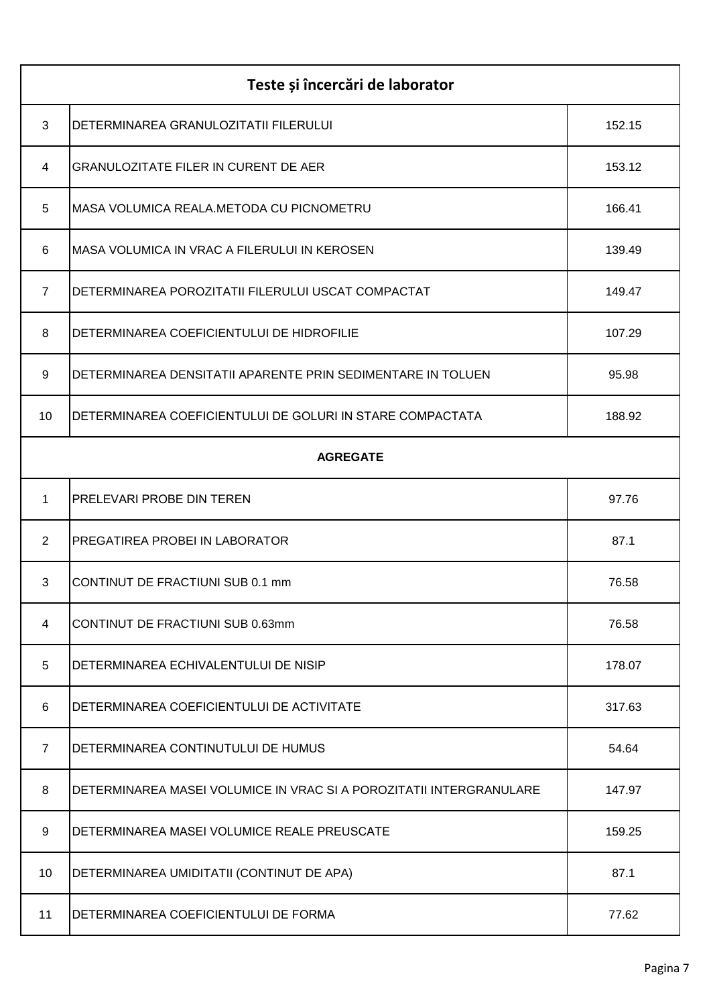| Teste și încercări de laborator |                                                                     |        |
|---------------------------------|---------------------------------------------------------------------|--------|
| 3                               | DETERMINAREA GRANULOZITATII FILERULUI                               | 152.15 |
| 4                               | <b>GRANULOZITATE FILER IN CURENT DE AER</b>                         | 153.12 |
| 5                               | MASA VOLUMICA REALA.METODA CU PICNOMETRU                            | 166.41 |
| 6                               | MASA VOLUMICA IN VRAC A FILERULUI IN KEROSEN                        | 139.49 |
| $\overline{7}$                  | DETERMINAREA POROZITATII FILERULUI USCAT COMPACTAT                  | 149.47 |
| 8                               | DETERMINAREA COEFICIENTULUI DE HIDROFILIE                           | 107.29 |
| 9                               | DETERMINAREA DENSITATII APARENTE PRIN SEDIMENTARE IN TOLUEN         | 95.98  |
| 10                              | DETERMINAREA COEFICIENTULUI DE GOLURI IN STARE COMPACTATA           | 188.92 |
| <b>AGREGATE</b>                 |                                                                     |        |
| 1                               | PRELEVARI PROBE DIN TEREN                                           | 97.76  |
| 2                               | PREGATIREA PROBEI IN LABORATOR                                      | 87.1   |
| 3                               | CONTINUT DE FRACTIUNI SUB 0.1 mm                                    | 76.58  |
| 4                               | CONTINUT DE FRACTIUNI SUB 0.63mm                                    | 76.58  |
| 5                               | DETERMINAREA ECHIVALENTULUI DE NISIP                                | 178.07 |
| 6                               | DETERMINAREA COEFICIENTULUI DE ACTIVITATE                           | 317.63 |
| $\overline{7}$                  | DETERMINAREA CONTINUTULUI DE HUMUS                                  | 54.64  |
| 8                               | DETERMINAREA MASEI VOLUMICE IN VRAC SI A POROZITATII INTERGRANULARE | 147.97 |
| 9                               | DETERMINAREA MASEI VOLUMICE REALE PREUSCATE                         | 159.25 |
| 10                              | DETERMINAREA UMIDITATII (CONTINUT DE APA)                           | 87.1   |
| 11                              | DETERMINAREA COEFICIENTULUI DE FORMA                                | 77.62  |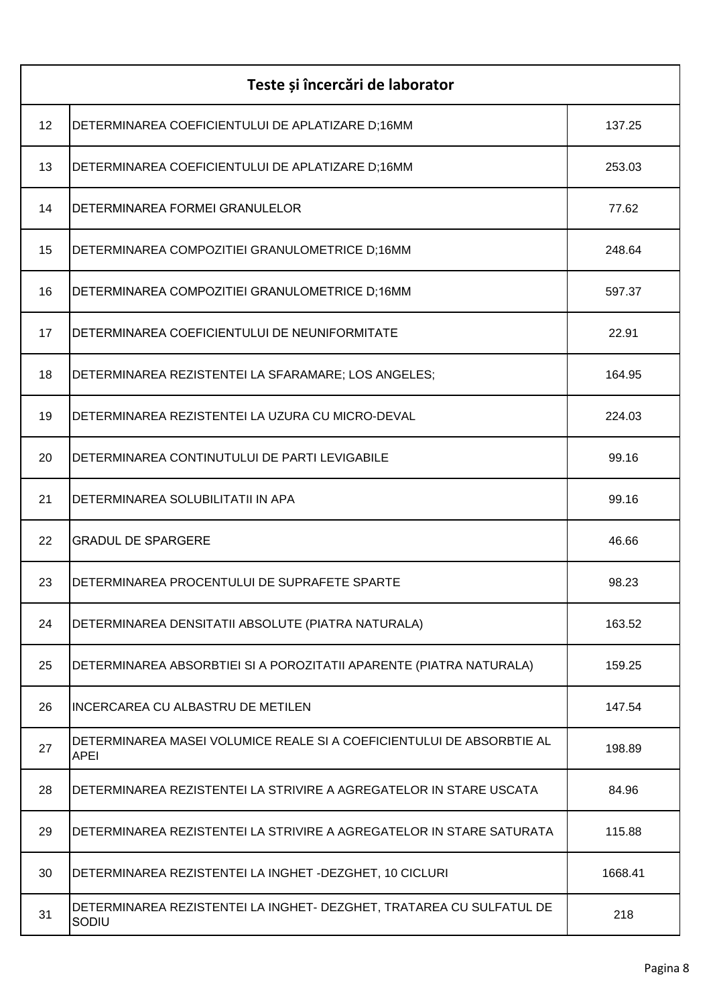| Teste și încercări de laborator |                                                                               |         |
|---------------------------------|-------------------------------------------------------------------------------|---------|
| 12                              | DETERMINAREA COEFICIENTULUI DE APLATIZARE D;16MM                              | 137.25  |
| 13                              | DETERMINAREA COEFICIENTULUI DE APLATIZARE D;16MM                              | 253.03  |
| 14                              | DETERMINAREA FORMEI GRANULELOR                                                | 77.62   |
| 15                              | DETERMINAREA COMPOZITIEI GRANULOMETRICE D;16MM                                | 248.64  |
| 16                              | DETERMINAREA COMPOZITIEI GRANULOMETRICE D;16MM                                | 597.37  |
| 17                              | DETERMINAREA COEFICIENTULUI DE NEUNIFORMITATE                                 | 22.91   |
| 18                              | DETERMINAREA REZISTENTEI LA SFARAMARE; LOS ANGELES;                           | 164.95  |
| 19                              | DETERMINAREA REZISTENTEI LA UZURA CU MICRO-DEVAL                              | 224.03  |
| 20                              | DETERMINAREA CONTINUTULUI DE PARTI LEVIGABILE                                 | 99.16   |
| 21                              | DETERMINAREA SOLUBILITATII IN APA                                             | 99.16   |
| 22                              | <b>GRADUL DE SPARGERE</b>                                                     | 46.66   |
| 23                              | DETERMINAREA PROCENTULUI DE SUPRAFETE SPARTE                                  | 98.23   |
| 24                              | DETERMINAREA DENSITATII ABSOLUTE (PIATRA NATURALA)                            | 163.52  |
| 25                              | DETERMINAREA ABSORBTIEI SI A POROZITATII APARENTE (PIATRA NATURALA)           | 159.25  |
| 26                              | <b>INCERCAREA CU ALBASTRU DE METILEN</b>                                      | 147.54  |
| 27                              | DETERMINAREA MASEI VOLUMICE REALE SI A COEFICIENTULUI DE ABSORBTIE AL<br>APEI | 198.89  |
| 28                              | DETERMINAREA REZISTENTEI LA STRIVIRE A AGREGATELOR IN STARE USCATA            | 84.96   |
| 29                              | DETERMINAREA REZISTENTEI LA STRIVIRE A AGREGATELOR IN STARE SATURATA          | 115.88  |
| 30                              | DETERMINAREA REZISTENTEI LA INGHET -DEZGHET, 10 CICLURI                       | 1668.41 |
| 31                              | DETERMINAREA REZISTENTEI LA INGHET- DEZGHET, TRATAREA CU SULFATUL DE<br>SODIU | 218     |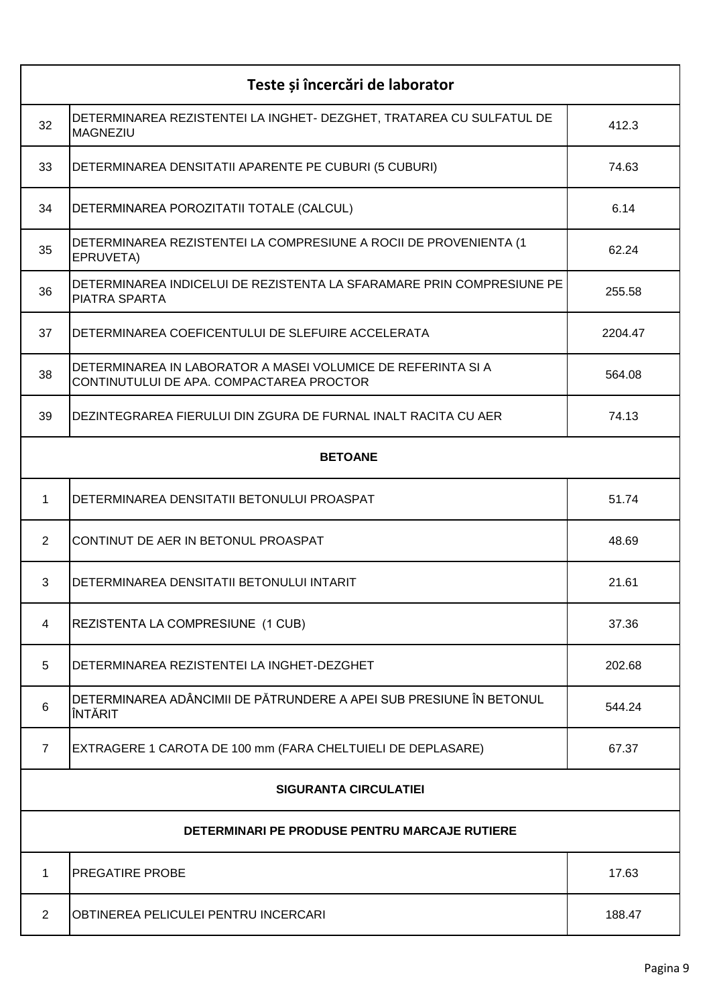| Teste și încercări de laborator               |                                                                                                          |         |
|-----------------------------------------------|----------------------------------------------------------------------------------------------------------|---------|
| 32                                            | DETERMINAREA REZISTENTEI LA INGHET- DEZGHET, TRATAREA CU SULFATUL DE<br><b>MAGNEZIU</b>                  | 412.3   |
| 33                                            | DETERMINAREA DENSITATII APARENTE PE CUBURI (5 CUBURI)                                                    | 74.63   |
| 34                                            | DETERMINAREA POROZITATII TOTALE (CALCUL)                                                                 | 6.14    |
| 35                                            | DETERMINAREA REZISTENTEI LA COMPRESIUNE A ROCII DE PROVENIENTA (1<br>EPRUVETA)                           | 62.24   |
| 36                                            | DETERMINAREA INDICELUI DE REZISTENTA LA SFARAMARE PRIN COMPRESIUNE PE<br><b>PIATRA SPARTA</b>            | 255.58  |
| 37                                            | DETERMINAREA COEFICENTULUI DE SLEFUIRE ACCELERATA                                                        | 2204.47 |
| 38                                            | DETERMINAREA IN LABORATOR A MASEI VOLUMICE DE REFERINTA SI A<br>CONTINUTULUI DE APA. COMPACTAREA PROCTOR | 564.08  |
| 39                                            | DEZINTEGRAREA FIERULUI DIN ZGURA DE FURNAL INALT RACITA CU AER                                           | 74.13   |
| <b>BETOANE</b>                                |                                                                                                          |         |
| 1                                             | DETERMINAREA DENSITATII BETONULUI PROASPAT                                                               | 51.74   |
| 2                                             | CONTINUT DE AER IN BETONUL PROASPAT                                                                      | 48.69   |
| 3                                             | DETERMINAREA DENSITATII BETONULUI INTARIT                                                                | 21.61   |
| 4                                             | REZISTENTA LA COMPRESIUNE (1 CUB)                                                                        | 37.36   |
| 5                                             | DETERMINAREA REZISTENTEI LA INGHET-DEZGHET                                                               | 202.68  |
| 6                                             | DETERMINAREA ADÂNCIMII DE PĂTRUNDERE A APEI SUB PRESIUNE ÎN BETONUL<br>ÎNTĂRIT                           | 544.24  |
| $\overline{7}$                                | EXTRAGERE 1 CAROTA DE 100 mm (FARA CHELTUIELI DE DEPLASARE)                                              | 67.37   |
| <b>SIGURANTA CIRCULATIEI</b>                  |                                                                                                          |         |
| DETERMINARI PE PRODUSE PENTRU MARCAJE RUTIERE |                                                                                                          |         |
| 1                                             | PREGATIRE PROBE                                                                                          | 17.63   |
| $\overline{2}$                                | OBTINEREA PELICULEI PENTRU INCERCARI                                                                     | 188.47  |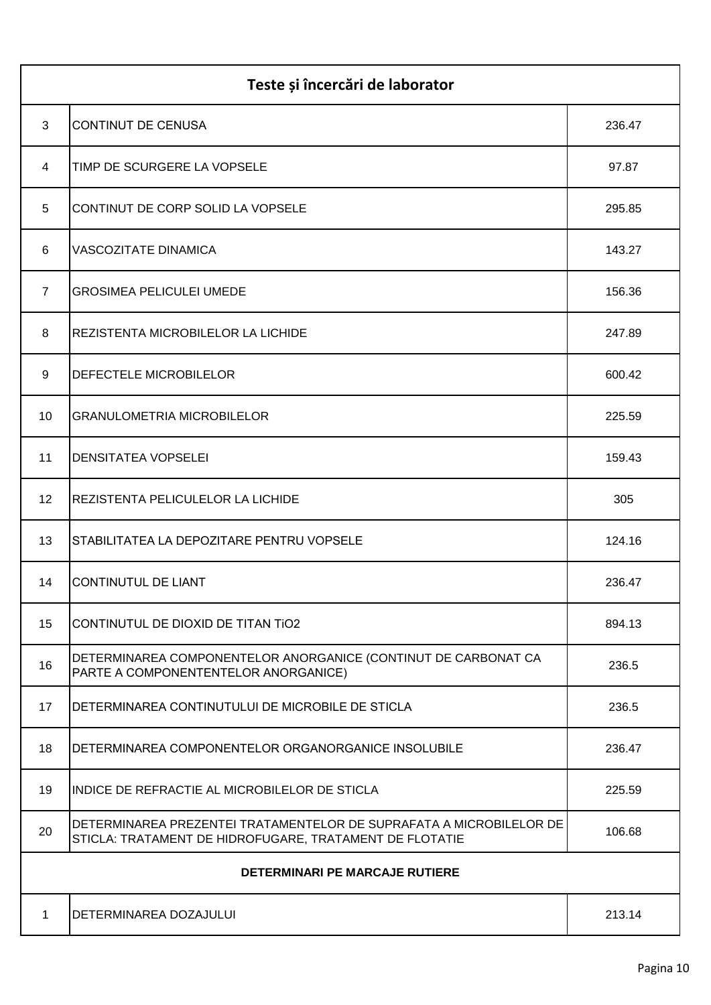| Teste și încercări de laborator |                                                                                                                                |        |
|---------------------------------|--------------------------------------------------------------------------------------------------------------------------------|--------|
| 3                               | <b>CONTINUT DE CENUSA</b>                                                                                                      | 236.47 |
| $\overline{4}$                  | TIMP DE SCURGERE LA VOPSELE                                                                                                    | 97.87  |
| 5                               | CONTINUT DE CORP SOLID LA VOPSELE                                                                                              | 295.85 |
| 6                               | <b>VASCOZITATE DINAMICA</b>                                                                                                    | 143.27 |
| $\overline{7}$                  | <b>GROSIMEA PELICULEI UMEDE</b>                                                                                                | 156.36 |
| 8                               | REZISTENTA MICROBILELOR LA LICHIDE                                                                                             | 247.89 |
| 9                               | <b>DEFECTELE MICROBILELOR</b>                                                                                                  | 600.42 |
| 10                              | <b>GRANULOMETRIA MICROBILELOR</b>                                                                                              | 225.59 |
| 11                              | <b>DENSITATEA VOPSELEI</b>                                                                                                     | 159.43 |
| 12                              | REZISTENTA PELICULELOR LA LICHIDE                                                                                              | 305    |
| 13                              | STABILITATEA LA DEPOZITARE PENTRU VOPSELE                                                                                      | 124.16 |
| 14                              | <b>CONTINUTUL DE LIANT</b>                                                                                                     | 236.47 |
| 15                              | CONTINUTUL DE DIOXID DE TITAN TIO2                                                                                             | 894.13 |
| 16                              | DETERMINAREA COMPONENTELOR ANORGANICE (CONTINUT DE CARBONAT CA<br>PARTE A COMPONENTENTELOR ANORGANICE)                         | 236.5  |
| 17                              | DETERMINAREA CONTINUTULUI DE MICROBILE DE STICLA                                                                               | 236.5  |
| 18                              | DETERMINAREA COMPONENTELOR ORGANORGANICE INSOLUBILE                                                                            | 236.47 |
| 19                              | INDICE DE REFRACTIE AL MICROBILELOR DE STICLA                                                                                  | 225.59 |
| 20                              | DETERMINAREA PREZENTEI TRATAMENTELOR DE SUPRAFATA A MICROBILELOR DE<br>STICLA: TRATAMENT DE HIDROFUGARE, TRATAMENT DE FLOTATIE | 106.68 |
| DETERMINARI PE MARCAJE RUTIERE  |                                                                                                                                |        |
| 1                               | DETERMINAREA DOZAJULUI                                                                                                         | 213.14 |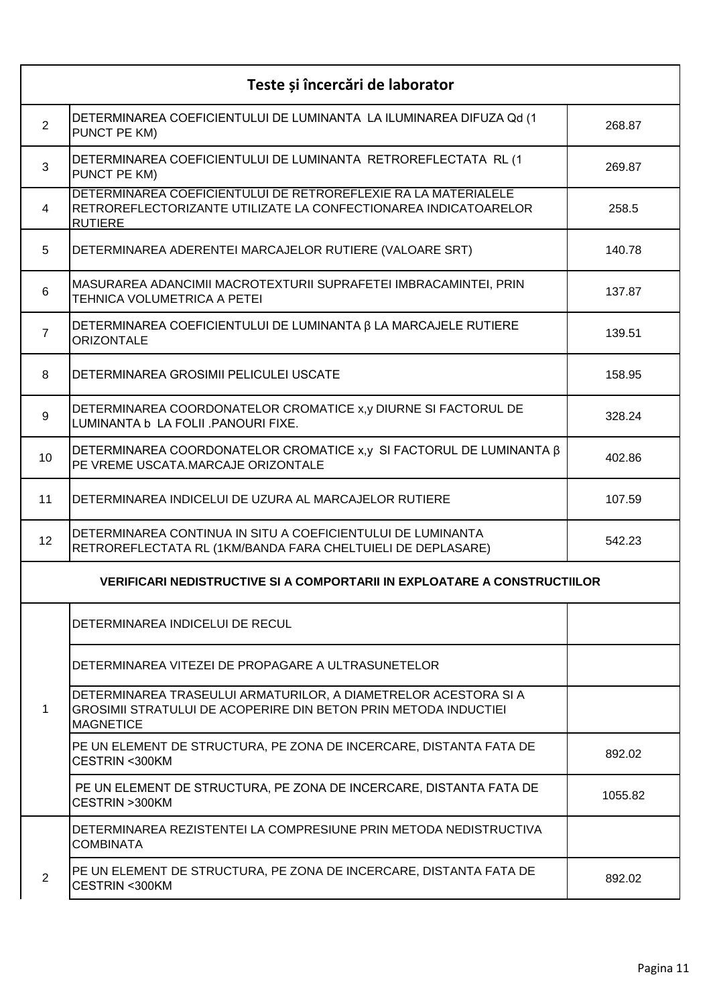|                | Teste și încercări de laborator                                                                                                                        |         |
|----------------|--------------------------------------------------------------------------------------------------------------------------------------------------------|---------|
| 2              | DETERMINAREA COEFICIENTULUI DE LUMINANTA LA ILUMINAREA DIFUZA Qd (1<br>PUNCT PE KM)                                                                    | 268.87  |
| 3              | DETERMINAREA COEFICIENTULUI DE LUMINANTA RETROREFLECTATA RL (1<br>PUNCT PE KM)                                                                         | 269.87  |
| 4              | DETERMINAREA COEFICIENTULUI DE RETROREFLEXIE RA LA MATERIALELE<br>RETROREFLECTORIZANTE UTILIZATE LA CONFECTIONAREA INDICATOARELOR<br><b>RUTIERE</b>    | 258.5   |
| 5              | DETERMINAREA ADERENTEI MARCAJELOR RUTIERE (VALOARE SRT)                                                                                                | 140.78  |
| 6              | MASURAREA ADANCIMII MACROTEXTURII SUPRAFETEI IMBRACAMINTEI, PRIN<br>TEHNICA VOLUMETRICA A PETEI                                                        | 137.87  |
| $\overline{7}$ | DETERMINAREA COEFICIENTULUI DE LUMINANTA β LA MARCAJELE RUTIERE<br><b>ORIZONTALE</b>                                                                   | 139.51  |
| 8              | DETERMINAREA GROSIMII PELICULEI USCATE                                                                                                                 | 158.95  |
| 9              | DETERMINAREA COORDONATELOR CROMATICE x,y DIURNE SI FACTORUL DE<br>LUMINANTA b LA FOLII .PANOURI FIXE.                                                  | 328.24  |
| 10             | DETERMINAREA COORDONATELOR CROMATICE x, y SI FACTORUL DE LUMINANTA β<br>PE VREME USCATA.MARCAJE ORIZONTALE                                             | 402.86  |
| 11             | DETERMINAREA INDICELUI DE UZURA AL MARCAJELOR RUTIERE                                                                                                  | 107.59  |
| 12             | DETERMINAREA CONTINUA IN SITU A COEFICIENTULUI DE LUMINANTA<br>RETROREFLECTATA RL (1KM/BANDA FARA CHELTUIELI DE DEPLASARE)                             | 542.23  |
|                | <b>VERIFICARI NEDISTRUCTIVE SI A COMPORTARII IN EXPLOATARE A CONSTRUCTIILOR</b>                                                                        |         |
|                | DETERMINAREA INDICELUI DE RECUL                                                                                                                        |         |
|                | DETERMINAREA VITEZEI DE PROPAGARE A ULTRASUNETELOR                                                                                                     |         |
| 1              | DETERMINAREA TRASEULUI ARMATURILOR, A DIAMETRELOR ACESTORA SI A<br>GROSIMII STRATULUI DE ACOPERIRE DIN BETON PRIN METODA INDUCTIEI<br><b>MAGNETICE</b> |         |
|                | PE UN ELEMENT DE STRUCTURA, PE ZONA DE INCERCARE, DISTANTA FATA DE<br>CESTRIN <300KM                                                                   | 892.02  |
|                | PE UN ELEMENT DE STRUCTURA, PE ZONA DE INCERCARE, DISTANTA FATA DE<br>CESTRIN >300KM                                                                   | 1055.82 |
|                | DETERMINAREA REZISTENTEI LA COMPRESIUNE PRIN METODA NEDISTRUCTIVA<br><b>COMBINATA</b>                                                                  |         |
| 2              | PE UN ELEMENT DE STRUCTURA, PE ZONA DE INCERCARE, DISTANTA FATA DE<br>CESTRIN <300KM                                                                   | 892.02  |